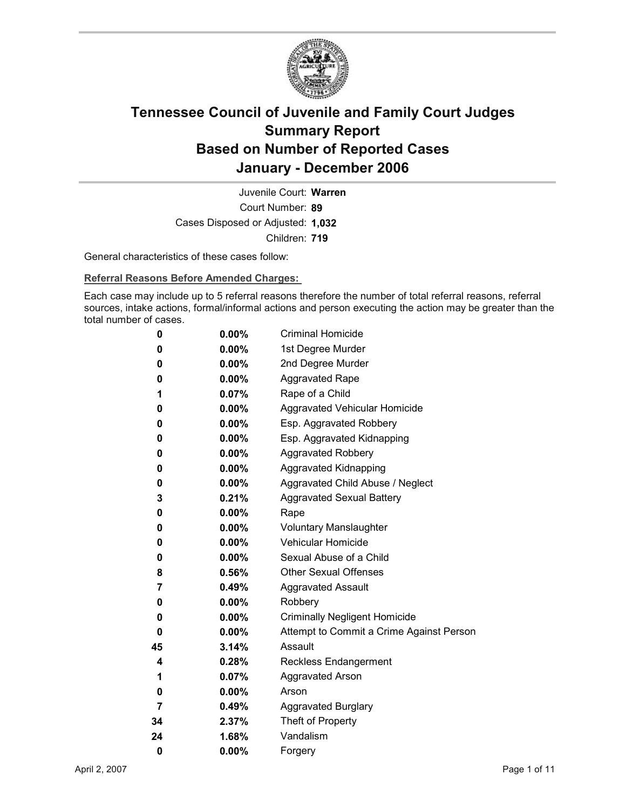

Court Number: **89** Juvenile Court: **Warren** Cases Disposed or Adjusted: **1,032** Children: **719**

General characteristics of these cases follow:

**Referral Reasons Before Amended Charges:** 

Each case may include up to 5 referral reasons therefore the number of total referral reasons, referral sources, intake actions, formal/informal actions and person executing the action may be greater than the total number of cases.

| 0  | $0.00\%$ | <b>Criminal Homicide</b>                 |
|----|----------|------------------------------------------|
| 0  | $0.00\%$ | 1st Degree Murder                        |
| 0  | $0.00\%$ | 2nd Degree Murder                        |
| 0  | $0.00\%$ | <b>Aggravated Rape</b>                   |
| 1  | 0.07%    | Rape of a Child                          |
| 0  | $0.00\%$ | <b>Aggravated Vehicular Homicide</b>     |
| 0  | $0.00\%$ | Esp. Aggravated Robbery                  |
| 0  | $0.00\%$ | Esp. Aggravated Kidnapping               |
| 0  | $0.00\%$ | <b>Aggravated Robbery</b>                |
| 0  | $0.00\%$ | <b>Aggravated Kidnapping</b>             |
| 0  | $0.00\%$ | Aggravated Child Abuse / Neglect         |
| 3  | 0.21%    | <b>Aggravated Sexual Battery</b>         |
| 0  | $0.00\%$ | Rape                                     |
| 0  | $0.00\%$ | <b>Voluntary Manslaughter</b>            |
| 0  | $0.00\%$ | <b>Vehicular Homicide</b>                |
| 0  | $0.00\%$ | Sexual Abuse of a Child                  |
| 8  | $0.56\%$ | <b>Other Sexual Offenses</b>             |
| 7  | $0.49\%$ | <b>Aggravated Assault</b>                |
| 0  | $0.00\%$ | Robbery                                  |
| 0  | $0.00\%$ | <b>Criminally Negligent Homicide</b>     |
| 0  | $0.00\%$ | Attempt to Commit a Crime Against Person |
| 45 | 3.14%    | Assault                                  |
| 4  | $0.28\%$ | <b>Reckless Endangerment</b>             |
| 1  | $0.07\%$ | <b>Aggravated Arson</b>                  |
| 0  | $0.00\%$ | Arson                                    |
| 7  | 0.49%    | <b>Aggravated Burglary</b>               |
| 34 | 2.37%    | Theft of Property                        |
| 24 | 1.68%    | Vandalism                                |
| 0  | 0.00%    | Forgery                                  |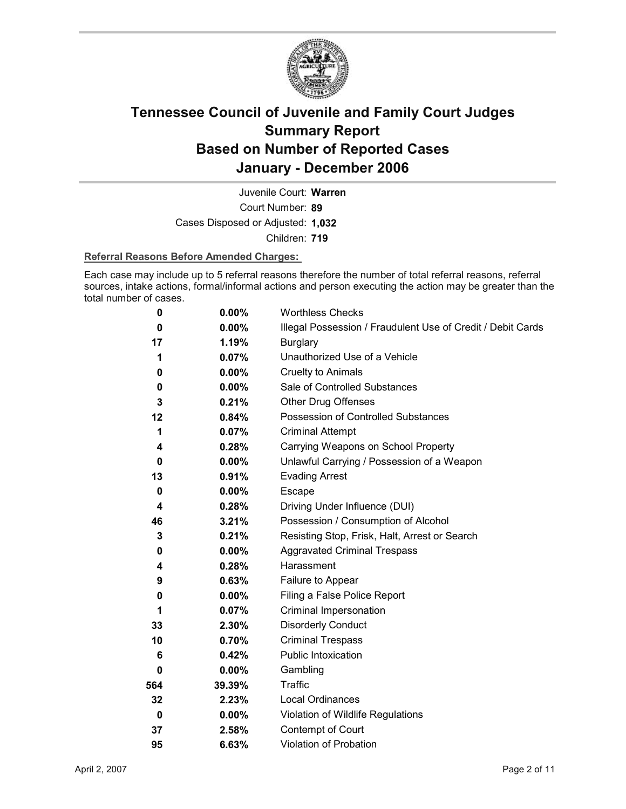

Court Number: **89** Juvenile Court: **Warren** Cases Disposed or Adjusted: **1,032** Children: **719**

#### **Referral Reasons Before Amended Charges:**

Each case may include up to 5 referral reasons therefore the number of total referral reasons, referral sources, intake actions, formal/informal actions and person executing the action may be greater than the total number of cases.

| 0   | 0.00%    | <b>Worthless Checks</b>                                     |
|-----|----------|-------------------------------------------------------------|
| 0   | 0.00%    | Illegal Possession / Fraudulent Use of Credit / Debit Cards |
| 17  | 1.19%    | <b>Burglary</b>                                             |
| 1   | 0.07%    | Unauthorized Use of a Vehicle                               |
| 0   | $0.00\%$ | <b>Cruelty to Animals</b>                                   |
| 0   | $0.00\%$ | Sale of Controlled Substances                               |
| 3   | 0.21%    | <b>Other Drug Offenses</b>                                  |
| 12  | 0.84%    | Possession of Controlled Substances                         |
| 1   | 0.07%    | <b>Criminal Attempt</b>                                     |
| 4   | 0.28%    | Carrying Weapons on School Property                         |
| 0   | $0.00\%$ | Unlawful Carrying / Possession of a Weapon                  |
| 13  | 0.91%    | <b>Evading Arrest</b>                                       |
| 0   | $0.00\%$ | Escape                                                      |
| 4   | 0.28%    | Driving Under Influence (DUI)                               |
| 46  | 3.21%    | Possession / Consumption of Alcohol                         |
| 3   | 0.21%    | Resisting Stop, Frisk, Halt, Arrest or Search               |
| 0   | 0.00%    | <b>Aggravated Criminal Trespass</b>                         |
| 4   | 0.28%    | Harassment                                                  |
| 9   | 0.63%    | Failure to Appear                                           |
| 0   | 0.00%    | Filing a False Police Report                                |
| 1   | 0.07%    | Criminal Impersonation                                      |
| 33  | 2.30%    | <b>Disorderly Conduct</b>                                   |
| 10  | 0.70%    | <b>Criminal Trespass</b>                                    |
| 6   | 0.42%    | Public Intoxication                                         |
| 0   | $0.00\%$ | Gambling                                                    |
| 564 | 39.39%   | <b>Traffic</b>                                              |
| 32  | 2.23%    | <b>Local Ordinances</b>                                     |
| 0   | $0.00\%$ | Violation of Wildlife Regulations                           |
| 37  | 2.58%    | Contempt of Court                                           |
| 95  | 6.63%    | <b>Violation of Probation</b>                               |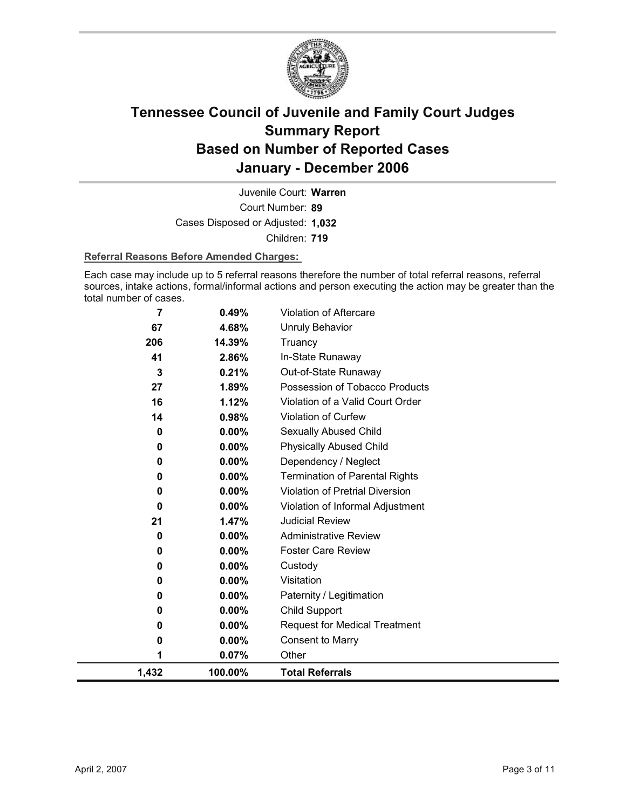

Court Number: **89** Juvenile Court: **Warren** Cases Disposed or Adjusted: **1,032** Children: **719**

#### **Referral Reasons Before Amended Charges:**

Each case may include up to 5 referral reasons therefore the number of total referral reasons, referral sources, intake actions, formal/informal actions and person executing the action may be greater than the total number of cases.

| $\overline{7}$ | 0.49%    | Violation of Aftercare                 |
|----------------|----------|----------------------------------------|
| 67             | 4.68%    | <b>Unruly Behavior</b>                 |
| 206            | 14.39%   | Truancy                                |
| 41             | 2.86%    | In-State Runaway                       |
| 3              | 0.21%    | Out-of-State Runaway                   |
| 27             | 1.89%    | Possession of Tobacco Products         |
| 16             | 1.12%    | Violation of a Valid Court Order       |
| 14             | 0.98%    | Violation of Curfew                    |
| 0              | 0.00%    | <b>Sexually Abused Child</b>           |
| 0              | $0.00\%$ | <b>Physically Abused Child</b>         |
| 0              | 0.00%    | Dependency / Neglect                   |
| 0              | 0.00%    | <b>Termination of Parental Rights</b>  |
| 0              | 0.00%    | <b>Violation of Pretrial Diversion</b> |
| $\bf{0}$       | 0.00%    | Violation of Informal Adjustment       |
| 21             | 1.47%    | <b>Judicial Review</b>                 |
| 0              | 0.00%    | <b>Administrative Review</b>           |
| 0              | $0.00\%$ | <b>Foster Care Review</b>              |
| 0              | 0.00%    | Custody                                |
| 0              | 0.00%    | Visitation                             |
| 0              | 0.00%    | Paternity / Legitimation               |
| 0              | 0.00%    | Child Support                          |
| 0              | 0.00%    | <b>Request for Medical Treatment</b>   |
| 0              | 0.00%    | <b>Consent to Marry</b>                |
| 1              | 0.07%    | Other                                  |
| 1,432          | 100.00%  | <b>Total Referrals</b>                 |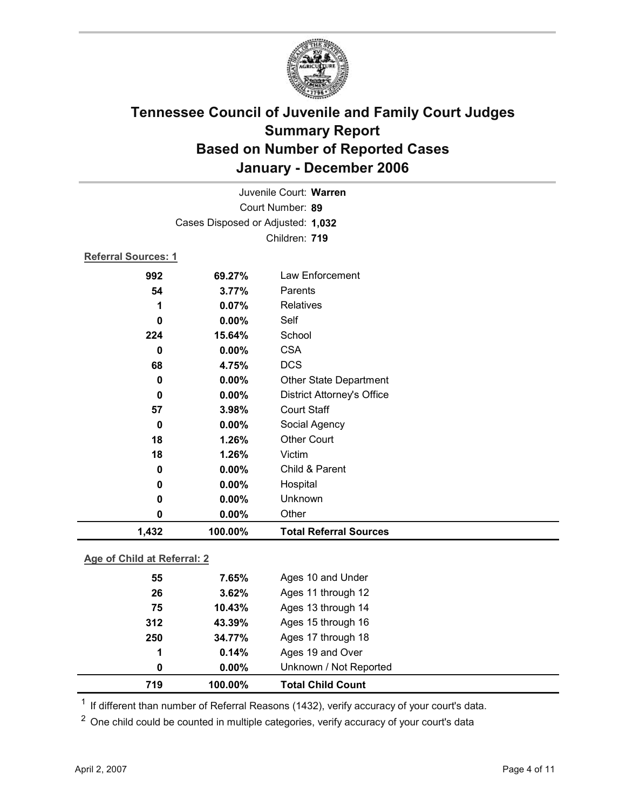

| Juvenile Court: Warren      |                                   |                                   |  |  |  |
|-----------------------------|-----------------------------------|-----------------------------------|--|--|--|
| Court Number: 89            |                                   |                                   |  |  |  |
|                             | Cases Disposed or Adjusted: 1,032 |                                   |  |  |  |
|                             |                                   | Children: 719                     |  |  |  |
| <b>Referral Sources: 1</b>  |                                   |                                   |  |  |  |
| 992                         | 69.27%                            | Law Enforcement                   |  |  |  |
| 54                          | 3.77%                             | Parents                           |  |  |  |
| 1                           | 0.07%                             | <b>Relatives</b>                  |  |  |  |
| 0                           | 0.00%                             | Self                              |  |  |  |
| 224                         | 15.64%                            | School                            |  |  |  |
| $\bf{0}$                    | 0.00%                             | <b>CSA</b>                        |  |  |  |
| 68                          | 4.75%                             | <b>DCS</b>                        |  |  |  |
| 0                           | 0.00%                             | <b>Other State Department</b>     |  |  |  |
| 0                           | 0.00%                             | <b>District Attorney's Office</b> |  |  |  |
| 57                          | 3.98%                             | <b>Court Staff</b>                |  |  |  |
| $\bf{0}$                    | 0.00%                             | Social Agency                     |  |  |  |
| 18                          | 1.26%                             | <b>Other Court</b>                |  |  |  |
| 18                          | 1.26%                             | Victim                            |  |  |  |
| 0                           | 0.00%                             | Child & Parent                    |  |  |  |
| 0                           | 0.00%                             | Hospital                          |  |  |  |
| 0                           | 0.00%                             | Unknown                           |  |  |  |
| $\mathbf 0$                 | 0.00%                             | Other                             |  |  |  |
| 1,432                       | 100.00%                           | <b>Total Referral Sources</b>     |  |  |  |
| Age of Child at Referral: 2 |                                   |                                   |  |  |  |
| 7.65%                       |                                   |                                   |  |  |  |
| 55                          |                                   | Ages 10 and Under                 |  |  |  |

| 719 | 100.00%  | <b>Total Child Count</b> |  |
|-----|----------|--------------------------|--|
| 0   | $0.00\%$ | Unknown / Not Reported   |  |
| 1   | 0.14%    | Ages 19 and Over         |  |
| 250 | 34.77%   | Ages 17 through 18       |  |
| 312 | 43.39%   | Ages 15 through 16       |  |
| 75  | 10.43%   | Ages 13 through 14       |  |
| 26  | 3.62%    | Ages 11 through 12       |  |
| 55  | 7.65%    | Ages 10 and Under        |  |

 $1$  If different than number of Referral Reasons (1432), verify accuracy of your court's data.

<sup>2</sup> One child could be counted in multiple categories, verify accuracy of your court's data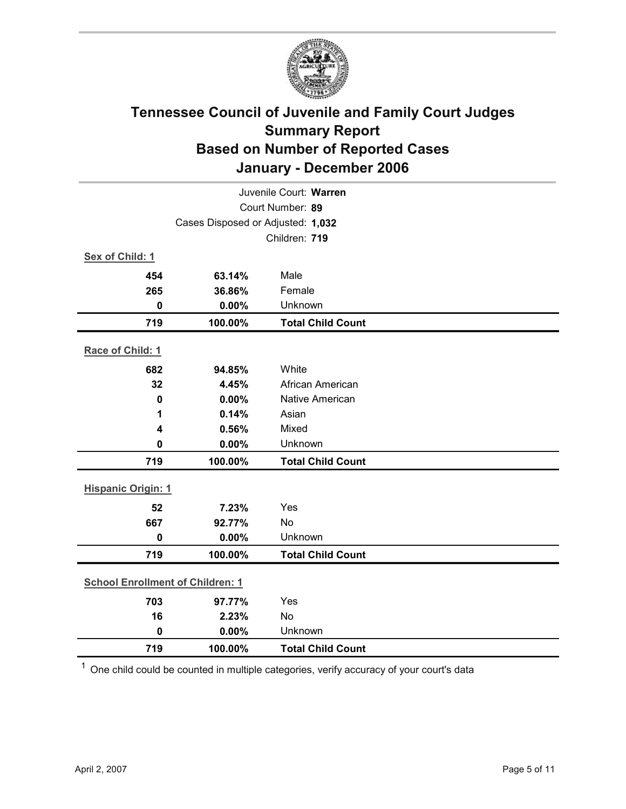

|                                         | Juvenile Court: Warren |                          |  |  |
|-----------------------------------------|------------------------|--------------------------|--|--|
| Court Number: 89                        |                        |                          |  |  |
| Cases Disposed or Adjusted: 1,032       |                        |                          |  |  |
|                                         | Children: 719          |                          |  |  |
| Sex of Child: 1                         |                        |                          |  |  |
| 454                                     | 63.14%                 | Male                     |  |  |
| 265                                     | 36.86%                 | Female                   |  |  |
| $\mathbf 0$                             | 0.00%                  | Unknown                  |  |  |
| 719                                     | 100.00%                | <b>Total Child Count</b> |  |  |
| Race of Child: 1                        |                        |                          |  |  |
| 682                                     | 94.85%                 | White                    |  |  |
| 32                                      | 4.45%                  | African American         |  |  |
| $\mathbf 0$                             | 0.00%                  | Native American          |  |  |
| 1                                       | 0.14%                  | Asian                    |  |  |
| 4                                       | 0.56%                  | Mixed                    |  |  |
| $\mathbf 0$                             | 0.00%                  | Unknown                  |  |  |
| 719                                     | 100.00%                | <b>Total Child Count</b> |  |  |
| <b>Hispanic Origin: 1</b>               |                        |                          |  |  |
| 52                                      | 7.23%                  | Yes                      |  |  |
| 667                                     | 92.77%                 | No                       |  |  |
| $\mathbf 0$                             | 0.00%                  | Unknown                  |  |  |
| 719                                     | 100.00%                | <b>Total Child Count</b> |  |  |
|                                         |                        |                          |  |  |
| <b>School Enrollment of Children: 1</b> |                        |                          |  |  |
| 703                                     | 97.77%                 | Yes                      |  |  |
| 16                                      | 2.23%                  | No                       |  |  |
| $\mathbf 0$                             | 0.00%                  | Unknown                  |  |  |
| 719                                     | 100.00%                | <b>Total Child Count</b> |  |  |

 $1$  One child could be counted in multiple categories, verify accuracy of your court's data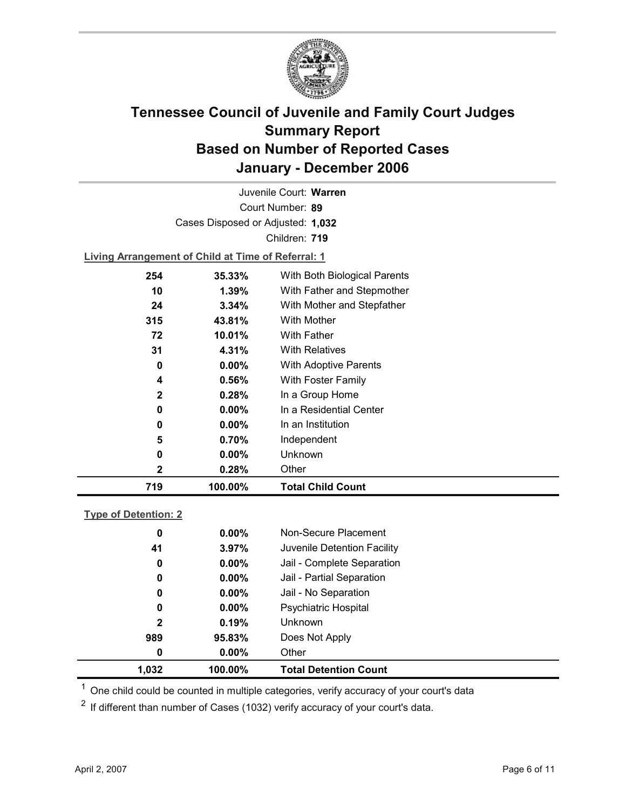

Court Number: **89** Juvenile Court: **Warren** Cases Disposed or Adjusted: **1,032** Children: **719**

**Living Arrangement of Child at Time of Referral: 1**

| 719          | 100.00%   | <b>Total Child Count</b>     |
|--------------|-----------|------------------------------|
| 2            | 0.28%     | Other                        |
| 0            | $0.00\%$  | Unknown                      |
| 5            | 0.70%     | Independent                  |
| 0            | $0.00\%$  | In an Institution            |
| 0            | $0.00\%$  | In a Residential Center      |
| $\mathbf{2}$ | 0.28%     | In a Group Home              |
| 4            | 0.56%     | With Foster Family           |
| 0            | $0.00\%$  | <b>With Adoptive Parents</b> |
| 31           | 4.31%     | <b>With Relatives</b>        |
| 72           | 10.01%    | <b>With Father</b>           |
| 315          | 43.81%    | With Mother                  |
| 24           | 3.34%     | With Mother and Stepfather   |
| 10           | 1.39%     | With Father and Stepmother   |
| 254          | $35.33\%$ | With Both Biological Parents |
|              |           |                              |

### **Type of Detention: 2**

| 1,032        | 100.00%  | <b>Total Detention Count</b> |  |
|--------------|----------|------------------------------|--|
| 0            | $0.00\%$ | Other                        |  |
| 989          | 95.83%   | Does Not Apply               |  |
| $\mathbf{2}$ | 0.19%    | <b>Unknown</b>               |  |
| 0            | $0.00\%$ | <b>Psychiatric Hospital</b>  |  |
| 0            | $0.00\%$ | Jail - No Separation         |  |
| 0            | $0.00\%$ | Jail - Partial Separation    |  |
| 0            | $0.00\%$ | Jail - Complete Separation   |  |
| 41           | 3.97%    | Juvenile Detention Facility  |  |
| 0            | $0.00\%$ | Non-Secure Placement         |  |
|              |          |                              |  |

 $<sup>1</sup>$  One child could be counted in multiple categories, verify accuracy of your court's data</sup>

 $2$  If different than number of Cases (1032) verify accuracy of your court's data.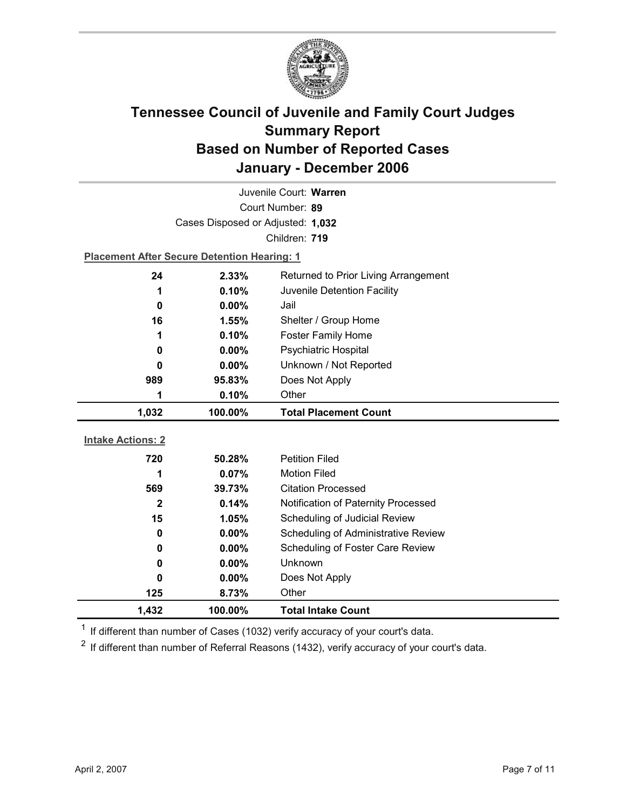

| Juvenile Court: Warren   |                                                    |                                      |  |  |
|--------------------------|----------------------------------------------------|--------------------------------------|--|--|
| Court Number: 89         |                                                    |                                      |  |  |
|                          | Cases Disposed or Adjusted: 1,032                  |                                      |  |  |
|                          |                                                    | Children: 719                        |  |  |
|                          | <b>Placement After Secure Detention Hearing: 1</b> |                                      |  |  |
| 24                       | 2.33%                                              | Returned to Prior Living Arrangement |  |  |
| 1                        | 0.10%                                              | Juvenile Detention Facility          |  |  |
| 0                        | 0.00%                                              | Jail                                 |  |  |
| 16                       | 1.55%                                              | Shelter / Group Home                 |  |  |
| 1                        | 0.10%                                              | <b>Foster Family Home</b>            |  |  |
| 0                        | 0.00%                                              | <b>Psychiatric Hospital</b>          |  |  |
| $\bf{0}$                 | 0.00%                                              | Unknown / Not Reported               |  |  |
| 989                      | 95.83%                                             | Does Not Apply                       |  |  |
| 1                        | 0.10%                                              | Other                                |  |  |
|                          |                                                    |                                      |  |  |
| 1,032                    | 100.00%                                            | <b>Total Placement Count</b>         |  |  |
|                          |                                                    |                                      |  |  |
| <b>Intake Actions: 2</b> |                                                    |                                      |  |  |
| 720                      | 50.28%                                             | <b>Petition Filed</b>                |  |  |
| 1                        | 0.07%                                              | <b>Motion Filed</b>                  |  |  |
| 569                      | 39.73%                                             | <b>Citation Processed</b>            |  |  |
| $\mathbf{2}$             | 0.14%                                              | Notification of Paternity Processed  |  |  |
| 15                       | 1.05%                                              | Scheduling of Judicial Review        |  |  |
| 0                        | 0.00%                                              | Scheduling of Administrative Review  |  |  |
| 0                        | $0.00\%$                                           | Scheduling of Foster Care Review     |  |  |
| 0                        | $0.00\%$                                           | Unknown                              |  |  |
| 0                        | $0.00\%$                                           | Does Not Apply                       |  |  |
| 125                      | 8.73%                                              | Other                                |  |  |

 $1$  If different than number of Cases (1032) verify accuracy of your court's data.

 $2$  If different than number of Referral Reasons (1432), verify accuracy of your court's data.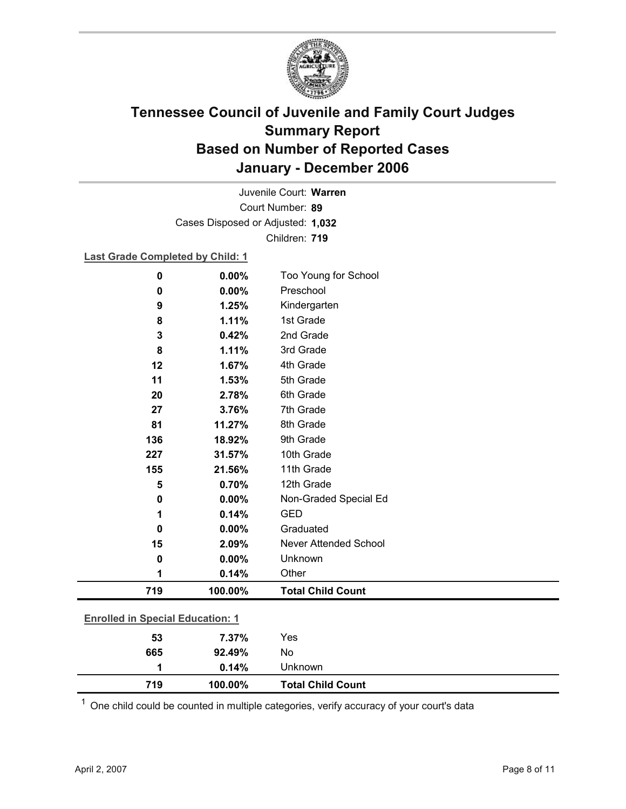

Court Number: **89** Juvenile Court: **Warren** Cases Disposed or Adjusted: **1,032** Children: **719**

**Last Grade Completed by Child: 1**

| $\bf{0}$                                | 0.00%   | Too Young for School         |  |
|-----------------------------------------|---------|------------------------------|--|
| 0                                       | 0.00%   | Preschool                    |  |
| 9                                       | 1.25%   | Kindergarten                 |  |
| 8                                       | 1.11%   | 1st Grade                    |  |
| 3                                       | 0.42%   | 2nd Grade                    |  |
| 8                                       | 1.11%   | 3rd Grade                    |  |
| 12                                      | 1.67%   | 4th Grade                    |  |
| 11                                      | 1.53%   | 5th Grade                    |  |
| 20                                      | 2.78%   | 6th Grade                    |  |
| 27                                      | 3.76%   | 7th Grade                    |  |
| 81                                      | 11.27%  | 8th Grade                    |  |
| 136                                     | 18.92%  | 9th Grade                    |  |
| 227                                     | 31.57%  | 10th Grade                   |  |
| 155                                     | 21.56%  | 11th Grade                   |  |
| 5                                       | 0.70%   | 12th Grade                   |  |
| $\mathbf 0$                             | 0.00%   | Non-Graded Special Ed        |  |
| 1                                       | 0.14%   | <b>GED</b>                   |  |
| $\bf{0}$                                | 0.00%   | Graduated                    |  |
| 15                                      | 2.09%   | <b>Never Attended School</b> |  |
| $\bf{0}$                                | 0.00%   | Unknown                      |  |
| 1                                       | 0.14%   | Other                        |  |
| 719                                     | 100.00% | <b>Total Child Count</b>     |  |
| <b>Enrolled in Special Education: 1</b> |         |                              |  |
| 53                                      | 7.37%   | Yes                          |  |
| 665                                     | 92.49%  | No                           |  |

 $1$  One child could be counted in multiple categories, verify accuracy of your court's data

**1 0.14%** Unknown

**719 100.00% Total Child Count**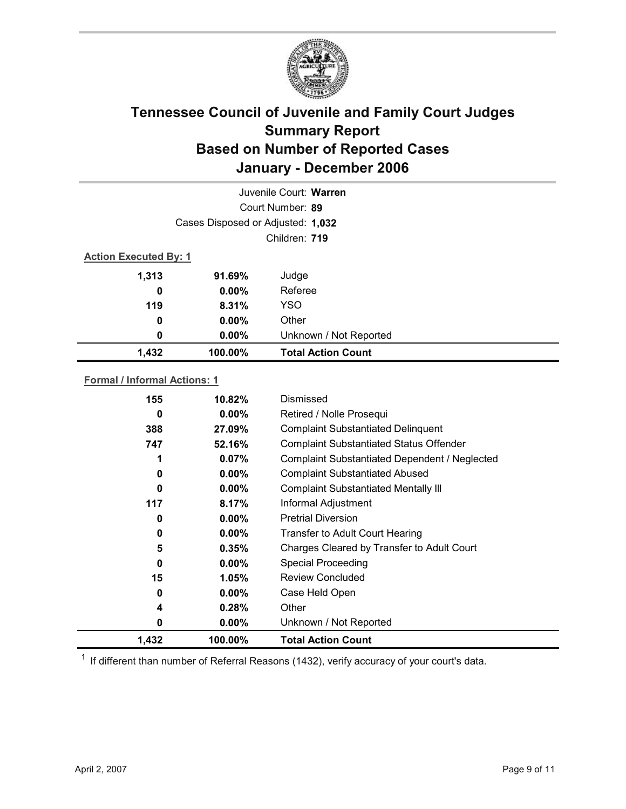

|                              |                                   | Juvenile Court: Warren    |  |
|------------------------------|-----------------------------------|---------------------------|--|
|                              |                                   | Court Number: 89          |  |
|                              | Cases Disposed or Adjusted: 1,032 |                           |  |
|                              | Children: 719                     |                           |  |
| <b>Action Executed By: 1</b> |                                   |                           |  |
| 1,313                        | 91.69%                            | Judge                     |  |
| 0                            | $0.00\%$                          | Referee                   |  |
| 119                          | 8.31%                             | <b>YSO</b>                |  |
| 0                            | $0.00\%$                          | Other                     |  |
| 0                            | $0.00\%$                          | Unknown / Not Reported    |  |
| 1,432                        | 100.00%                           | <b>Total Action Count</b> |  |

### **Formal / Informal Actions: 1**

| 155   | 10.82%   | Dismissed                                      |
|-------|----------|------------------------------------------------|
| 0     | $0.00\%$ | Retired / Nolle Prosequi                       |
| 388   | 27.09%   | <b>Complaint Substantiated Delinquent</b>      |
| 747   | 52.16%   | <b>Complaint Substantiated Status Offender</b> |
| 1     | 0.07%    | Complaint Substantiated Dependent / Neglected  |
| 0     | $0.00\%$ | <b>Complaint Substantiated Abused</b>          |
| 0     | $0.00\%$ | <b>Complaint Substantiated Mentally III</b>    |
| 117   | 8.17%    | Informal Adjustment                            |
| 0     | $0.00\%$ | <b>Pretrial Diversion</b>                      |
| 0     | $0.00\%$ | Transfer to Adult Court Hearing                |
| 5     | 0.35%    | Charges Cleared by Transfer to Adult Court     |
| 0     | $0.00\%$ | <b>Special Proceeding</b>                      |
| 15    | $1.05\%$ | <b>Review Concluded</b>                        |
| 0     | $0.00\%$ | Case Held Open                                 |
| 4     | 0.28%    | Other                                          |
| 0     | $0.00\%$ | Unknown / Not Reported                         |
| 1,432 | 100.00%  | <b>Total Action Count</b>                      |

 $1$  If different than number of Referral Reasons (1432), verify accuracy of your court's data.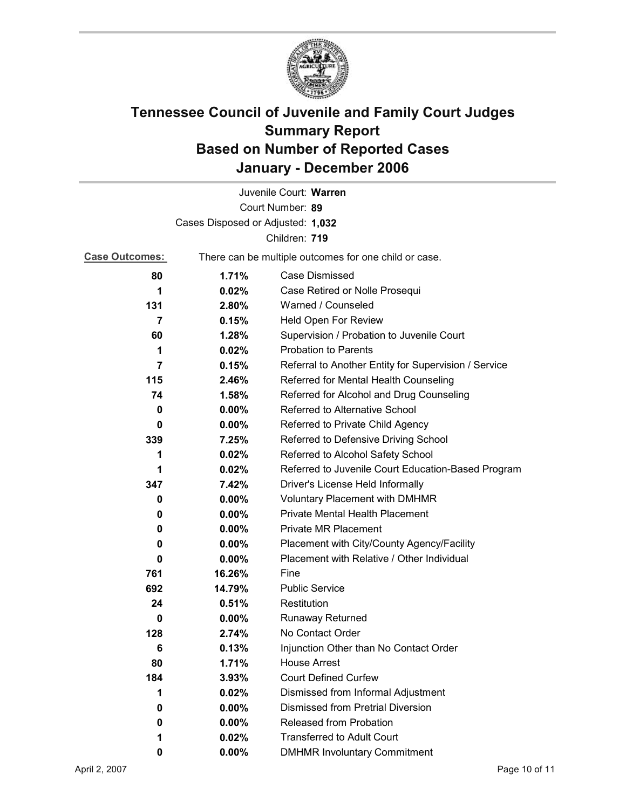

|                                   |                                                       | Juvenile Court: Warren                               |
|-----------------------------------|-------------------------------------------------------|------------------------------------------------------|
|                                   |                                                       | Court Number: 89                                     |
| Cases Disposed or Adjusted: 1,032 |                                                       |                                                      |
|                                   |                                                       | Children: 719                                        |
| <b>Case Outcomes:</b>             | There can be multiple outcomes for one child or case. |                                                      |
| 80                                | 1.71%                                                 | Case Dismissed                                       |
| 1                                 | 0.02%                                                 | Case Retired or Nolle Prosequi                       |
| 131                               | 2.80%                                                 | Warned / Counseled                                   |
| 7                                 | 0.15%                                                 | Held Open For Review                                 |
| 60                                | 1.28%                                                 | Supervision / Probation to Juvenile Court            |
| 1                                 | 0.02%                                                 | <b>Probation to Parents</b>                          |
| $\overline{7}$                    | 0.15%                                                 | Referral to Another Entity for Supervision / Service |
| 115                               | 2.46%                                                 | Referred for Mental Health Counseling                |
| 74                                | 1.58%                                                 | Referred for Alcohol and Drug Counseling             |
| 0                                 | 0.00%                                                 | Referred to Alternative School                       |
| 0                                 | $0.00\%$                                              | Referred to Private Child Agency                     |
| 339                               | 7.25%                                                 | Referred to Defensive Driving School                 |
| 1                                 | 0.02%                                                 | Referred to Alcohol Safety School                    |
| 1                                 | 0.02%                                                 | Referred to Juvenile Court Education-Based Program   |
| 347                               | 7.42%                                                 | Driver's License Held Informally                     |
| 0                                 | $0.00\%$                                              | <b>Voluntary Placement with DMHMR</b>                |
| 0                                 | $0.00\%$                                              | Private Mental Health Placement                      |
| 0                                 | $0.00\%$                                              | <b>Private MR Placement</b>                          |
| 0                                 | $0.00\%$                                              | Placement with City/County Agency/Facility           |
| 0                                 | $0.00\%$                                              | Placement with Relative / Other Individual           |
| 761                               | 16.26%                                                | Fine                                                 |
| 692                               | 14.79%                                                | <b>Public Service</b>                                |
| 24                                | 0.51%                                                 | Restitution                                          |
| 0                                 | $0.00\%$                                              | <b>Runaway Returned</b>                              |
| 128                               | 2.74%                                                 | No Contact Order                                     |
| 6                                 | 0.13%                                                 | Injunction Other than No Contact Order               |
| 80                                | 1.71%                                                 | <b>House Arrest</b>                                  |
| 184                               | 3.93%                                                 | <b>Court Defined Curfew</b>                          |
| 1                                 | 0.02%                                                 | Dismissed from Informal Adjustment                   |
| 0                                 | 0.00%                                                 | <b>Dismissed from Pretrial Diversion</b>             |
| 0                                 | $0.00\%$                                              | Released from Probation                              |
| 1                                 | 0.02%                                                 | <b>Transferred to Adult Court</b>                    |
| 0                                 | $0.00\%$                                              | <b>DMHMR Involuntary Commitment</b>                  |